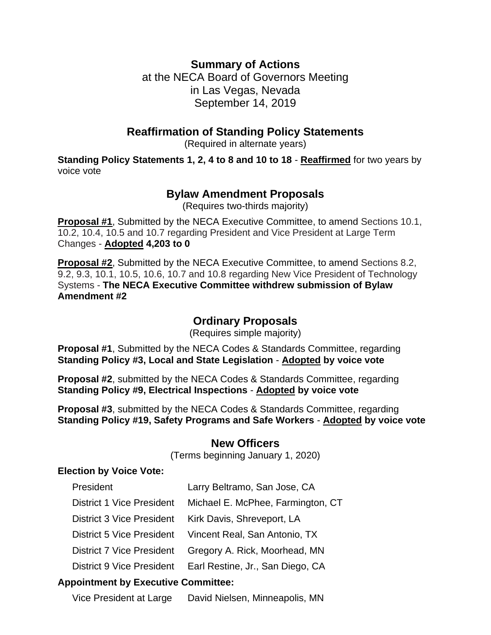## **Summary of Actions**

at the NECA Board of Governors Meeting in Las Vegas, Nevada September 14, 2019

### **Reaffirmation of Standing Policy Statements**

(Required in alternate years)

**Standing Policy Statements 1, 2, 4 to 8 and 10 to 18** - **Reaffirmed** for two years by voice vote

## **Bylaw Amendment Proposals**

(Requires two-thirds majority)

**Proposal #1**, Submitted by the NECA Executive Committee, to amend Sections 10.1, 10.2, 10.4, 10.5 and 10.7 regarding President and Vice President at Large Term Changes - **Adopted 4,203 to 0**

**Proposal #2**, Submitted by the NECA Executive Committee, to amend Sections 8.2, 9.2, 9.3, 10.1, 10.5, 10.6, 10.7 and 10.8 regarding New Vice President of Technology Systems - **The NECA Executive Committee withdrew submission of Bylaw Amendment #2**

## **Ordinary Proposals**

(Requires simple majority)

**Proposal #1**, Submitted by the NECA Codes & Standards Committee, regarding **Standing Policy #3, Local and State Legislation** - **Adopted by voice vote**

**Proposal #2**, submitted by the NECA Codes & Standards Committee, regarding **Standing Policy #9, Electrical Inspections** - **Adopted by voice vote**

**Proposal #3**, submitted by the NECA Codes & Standards Committee, regarding **Standing Policy #19, Safety Programs and Safe Workers** - **Adopted by voice vote**

#### **New Officers**

(Terms beginning January 1, 2020)

#### **Election by Voice Vote:**

| President                                  | Larry Beltramo, San Jose, CA      |
|--------------------------------------------|-----------------------------------|
| District 1 Vice President                  | Michael E. McPhee, Farmington, CT |
| District 3 Vice President                  | Kirk Davis, Shreveport, LA        |
| District 5 Vice President                  | Vincent Real, San Antonio, TX     |
| <b>District 7 Vice President</b>           | Gregory A. Rick, Moorhead, MN     |
| <b>District 9 Vice President</b>           | Earl Restine, Jr., San Diego, CA  |
| <b>Appointment by Executive Committee:</b> |                                   |
| <u>Vion Dropidant at Larga</u>             | Dovid Nicleon, Minnespolic, MN    |

Vice President at Large David Nielsen, Minneapolis, MN